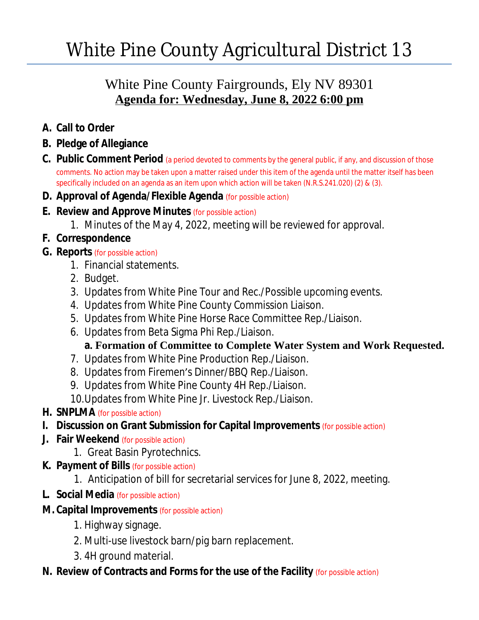# White Pine County Agricultural District 13

## White Pine County Fairgrounds, Ely NV 89301 **Agenda for: Wednesday, June 8, 2022 6:00 pm**

- **A. Call to Order**
- **B. Pledge of Allegiance**
- **C. Public Comment Period** (a period devoted to comments by the general public, if any, and discussion of those comments. No action may be taken upon a matter raised under this item of the agenda until the matter itself has been specifically included on an agenda as an item upon which action will be taken (N.R.S.241.020) (2) & (3).
- **D. Approval of Agenda/Flexible Agenda** (for possible action)
- **E. Review and Approve Minutes** (for possible action)
	- 1. Minutes of the May 4, 2022, meeting will be reviewed for approval.
- **F. Correspondence**
- **G. Reports** (for possible action)
	- 1. Financial statements.
	- 2. Budget.
	- 3. Updates from White Pine Tour and Rec./Possible upcoming events.
	- 4. Updates from White Pine County Commission Liaison.
	- 5. Updates from White Pine Horse Race Committee Rep./Liaison.
	- 6. Updates from Beta Sigma Phi Rep./Liaison.

## **a. Formation of Committee to Complete Water System and Work Requested.**

- 7. Updates from White Pine Production Rep./Liaison.
- 8. Updates from Firemen's Dinner/BBQ Rep./Liaison.
- 9. Updates from White Pine County 4H Rep./Liaison.
- 10.Updates from White Pine Jr. Livestock Rep./Liaison.

### **H. SNPLMA** (for possible action)

- **I.** Discussion on Grant Submission for Capital Improvements (for possible action)
- **J. Fair Weekend** (for possible action)
	- 1. Great Basin Pyrotechnics.
- **K. Payment of Bills** (for possible action)
	- 1. Anticipation of bill for secretarial services for June 8, 2022, meeting.
- **L. Social Media** (for possible action)
- **M. Capital Improvements** (for possible action)
	- 1. Highway signage.
	- 2. Multi-use livestock barn/pig barn replacement.
	- 3. 4H ground material.

## **N. Review of Contracts and Forms for the use of the Facility** (for possible action)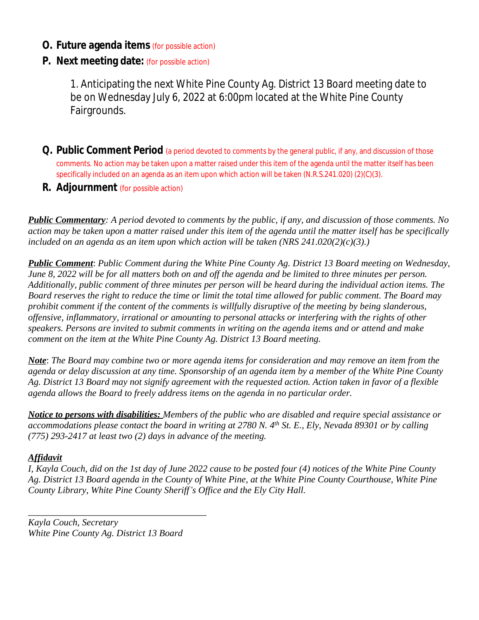#### **O. Future agenda items** (for possible action)

#### **P. Next meeting date:** (for possible action)

1. Anticipating the next White Pine County Ag. District 13 Board meeting date to be on Wednesday July 6, 2022 at 6:00pm located at the White Pine County Fairgrounds.

- **Q. Public Comment Period** (a period devoted to comments by the general public, if any, and discussion of those comments. No action may be taken upon a matter raised under this item of the agenda until the matter itself has been specifically included on an agenda as an item upon which action will be taken (N.R.S.241.020) (2)(C)(3).
- **R. Adjournment** (for possible action)

*Public Commentary: A period devoted to comments by the public, if any, and discussion of those comments. No action may be taken upon a matter raised under this item of the agenda until the matter itself has be specifically included on an agenda as an item upon which action will be taken (NRS 241.020(2)(c)(3).)*

*Public Comment*: *Public Comment during the White Pine County Ag. District 13 Board meeting on Wednesday, June 8, 2022 will be for all matters both on and off the agenda and be limited to three minutes per person. Additionally, public comment of three minutes per person will be heard during the individual action items. The Board reserves the right to reduce the time or limit the total time allowed for public comment. The Board may prohibit comment if the content of the comments is willfully disruptive of the meeting by being slanderous, offensive, inflammatory, irrational or amounting to personal attacks or interfering with the rights of other speakers. Persons are invited to submit comments in writing on the agenda items and or attend and make comment on the item at the White Pine County Ag. District 13 Board meeting.*

*Note*: *The Board may combine two or more agenda items for consideration and may remove an item from the agenda or delay discussion at any time. Sponsorship of an agenda item by a member of the White Pine County Ag. District 13 Board may not signify agreement with the requested action. Action taken in favor of a flexible agenda allows the Board to freely address items on the agenda in no particular order.*

*Notice to persons with disabilities: Members of the public who are disabled and require special assistance or accommodations please contact the board in writing at 2780 N. 4th St. E., Ely, Nevada 89301 or by calling (775) 293-2417 at least two (2) days in advance of the meeting.*

#### *Affidavit*

*I, Kayla Couch, did on the 1st day of June 2022 cause to be posted four (4) notices of the White Pine County Ag. District 13 Board agenda in the County of White Pine, at the White Pine County Courthouse, White Pine County Library, White Pine County Sheriff's Office and the Ely City Hall.*

*Kayla Couch, Secretary White Pine County Ag. District 13 Board*

*\_\_\_\_\_\_\_\_\_\_\_\_\_\_\_\_\_\_\_\_\_\_\_\_\_\_\_\_\_\_\_\_\_\_\_\_\_\_*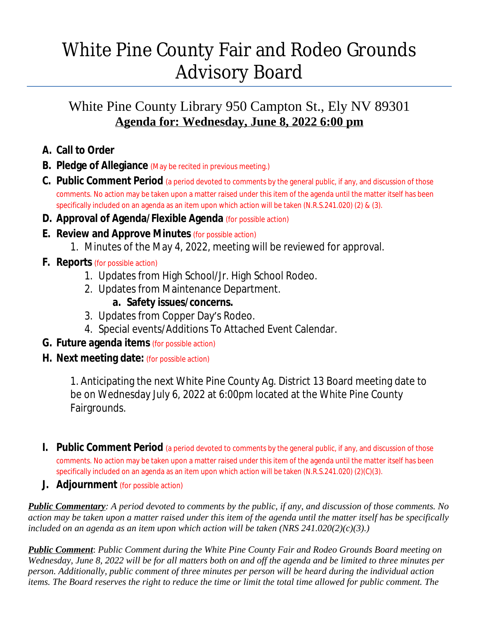# White Pine County Fair and Rodeo Grounds Advisory Board

## White Pine County Library 950 Campton St., Ely NV 89301 **Agenda for: Wednesday, June 8, 2022 6:00 pm**

- **A. Call to Order**
- **B. Pledge of Allegiance** (May be recited in previous meeting.)
- **C. Public Comment Period** (a period devoted to comments by the general public, if any, and discussion of those comments. No action may be taken upon a matter raised under this item of the agenda until the matter itself has been specifically included on an agenda as an item upon which action will be taken (N.R.S.241.020) (2) & (3).
- **D. Approval of Agenda/Flexible Agenda** (for possible action)
- **E. Review and Approve Minutes** (for possible action)
	- 1. Minutes of the May 4, 2022, meeting will be reviewed for approval.
- **F. Reports** (for possible action)
	- 1. Updates from High School/Jr. High School Rodeo.
	- 2. Updates from Maintenance Department.

### **a. Safety issues/concerns.**

- 3. Updates from Copper Day's Rodeo.
- 4. Special events/Additions To Attached Event Calendar.
- **G. Future agenda items** (for possible action)
- **H. Next meeting date:** (for possible action)

1. Anticipating the next White Pine County Ag. District 13 Board meeting date to be on Wednesday July 6, 2022 at 6:00pm located at the White Pine County Fairgrounds.

- **I.** Public Comment Period (a period devoted to comments by the general public, if any, and discussion of those comments. No action may be taken upon a matter raised under this item of the agenda until the matter itself has been specifically included on an agenda as an item upon which action will be taken (N.R.S.241.020) (2)(C)(3).
- **J. Adjournment** (for possible action)

*Public Commentary: A period devoted to comments by the public, if any, and discussion of those comments. No action may be taken upon a matter raised under this item of the agenda until the matter itself has be specifically included on an agenda as an item upon which action will be taken (NRS 241.020(2)(c)(3).)*

*Public Comment*: *Public Comment during the White Pine County Fair and Rodeo Grounds Board meeting on Wednesday, June 8, 2022 will be for all matters both on and off the agenda and be limited to three minutes per person. Additionally, public comment of three minutes per person will be heard during the individual action items. The Board reserves the right to reduce the time or limit the total time allowed for public comment. The*